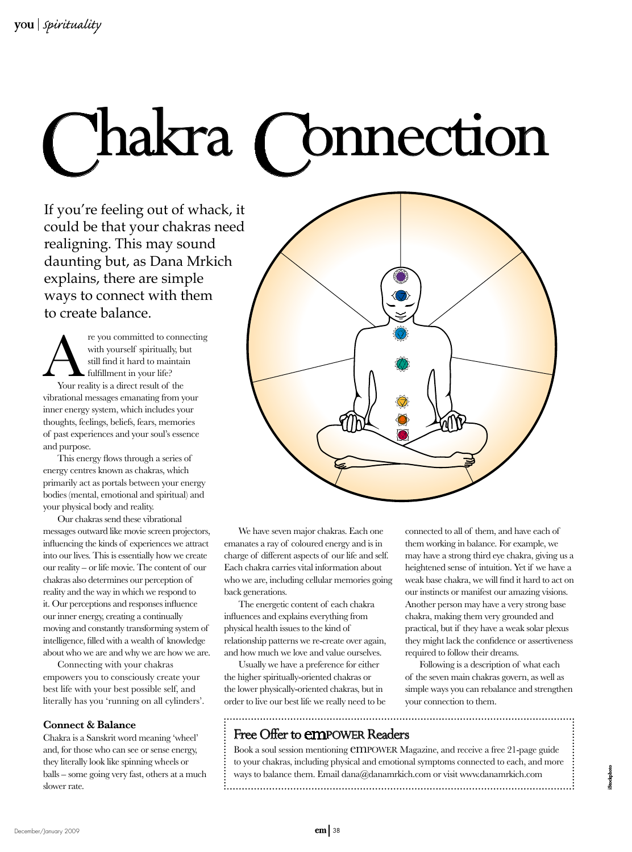

If you're feeling out of whack, it could be that your chakras need realigning. This may sound daunting but, as Dana Mrkich explains, there are simple ways to connect with them to create balance.

re you committed to connecting with yourself spiritually, but still find it hard to maintain fulfillment in your life? Your reality is a direct result of the vibrational messages emanating from your inner energy system, which includes your thoughts, feelings, beliefs, fears, memories of past experiences and your soul's essence and purpose.

This energy flows through a series of energy centres known as chakras, which primarily act as portals between your energy bodies (mental, emotional and spiritual) and your physical body and reality.

Our chakras send these vibrational messages outward like movie screen projectors, influencing the kinds of experiences we attract into our lives. This is essentially how we create our reality – or life movie. The content of our chakras also determines our perception of reality and the way in which we respond to it. Our perceptions and responses influence our inner energy, creating a continually moving and constantly transforming system of intelligence, filled with a wealth of knowledge about who we are and why we are how we are.

Connecting with your chakras empowers you to consciously create your best life with your best possible self, and literally has you 'running on all cylinders'.

## **Connect & Balance**

Chakra is a Sanskrit word meaning 'wheel' and, for those who can see or sense energy, they literally look like spinning wheels or balls – some going very fast, others at a much slower rate.



We have seven major chakras. Each one emanates a ray of coloured energy and is in charge of different aspects of our life and self. Each chakra carries vital information about who we are, including cellular memories going back generations.

The energetic content of each chakra influences and explains everything from physical health issues to the kind of relationship patterns we re-create over again, and how much we love and value ourselves.

Usually we have a preference for either the higher spiritually-oriented chakras or the lower physically-oriented chakras, but in order to live our best life we really need to be

Free Offer to empower Readers

connected to all of them, and have each of them working in balance. For example, we may have a strong third eye chakra, giving us a heightened sense of intuition. Yet if we have a weak base chakra, we will find it hard to act on our instincts or manifest our amazing visions. Another person may have a very strong base chakra, making them very grounded and practical, but if they have a weak solar plexus they might lack the confidence or assertiveness required to follow their dreams.

Following is a description of what each of the seven main chakras govern, as well as simple ways you can rebalance and strengthen your connection to them.

iStockphoto

Book a soul session mentioning **CMPOWER** Magazine, and receive a free 21-page guide to your chakras, including physical and emotional symptoms connected to each, and more ways to balance them. Email dana@danamrkich.com or visit www.danamrkich.com